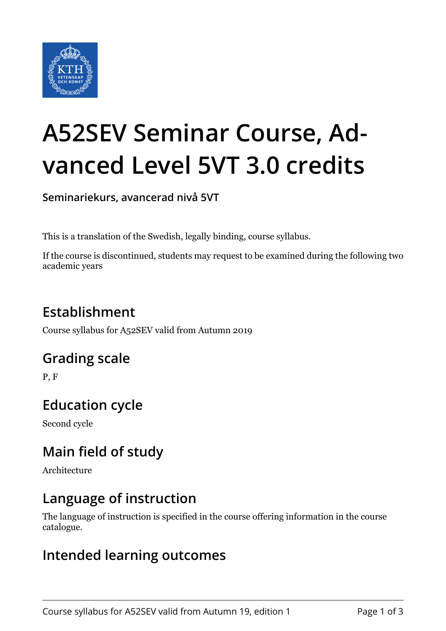

# **A52SEV Seminar Course, Advanced Level 5VT 3.0 credits**

**Seminariekurs, avancerad nivå 5VT**

This is a translation of the Swedish, legally binding, course syllabus.

If the course is discontinued, students may request to be examined during the following two academic years

### **Establishment**

Course syllabus for A52SEV valid from Autumn 2019

#### **Grading scale**

P, F

# **Education cycle**

Second cycle

#### **Main field of study**

Architecture

#### **Language of instruction**

The language of instruction is specified in the course offering information in the course catalogue.

#### **Intended learning outcomes**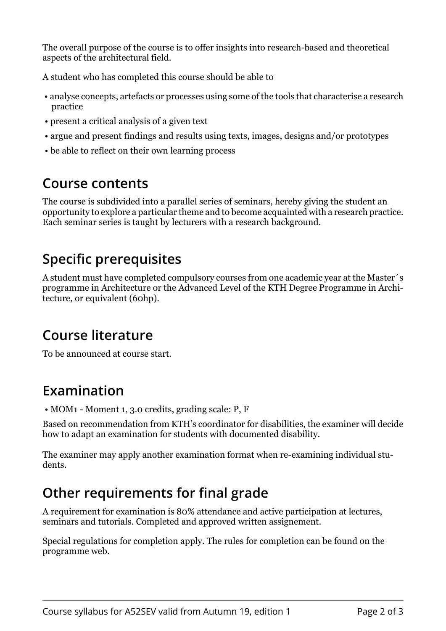The overall purpose of the course is to offer insights into research-based and theoretical aspects of the architectural field.

A student who has completed this course should be able to

- analyse concepts, artefacts or processes using some of the tools that characterise a research practice
- present a critical analysis of a given text
- argue and present findings and results using texts, images, designs and/or prototypes
- be able to reflect on their own learning process

#### **Course contents**

The course is subdivided into a parallel series of seminars, hereby giving the student an opportunity to explore a particular theme and to become acquainted with a research practice. Each seminar series is taught by lecturers with a research background.

# **Specific prerequisites**

A student must have completed compulsory courses from one academic year at the Master´s programme in Architecture or the Advanced Level of the KTH Degree Programme in Architecture, or equivalent (60hp).

# **Course literature**

To be announced at course start.

# **Examination**

• MOM1 - Moment 1, 3.0 credits, grading scale: P, F

Based on recommendation from KTH's coordinator for disabilities, the examiner will decide how to adapt an examination for students with documented disability.

The examiner may apply another examination format when re-examining individual students.

# **Other requirements for final grade**

A requirement for examination is 80% attendance and active participation at lectures, seminars and tutorials. Completed and approved written assignement.

Special regulations for completion apply. The rules for completion can be found on the programme web.